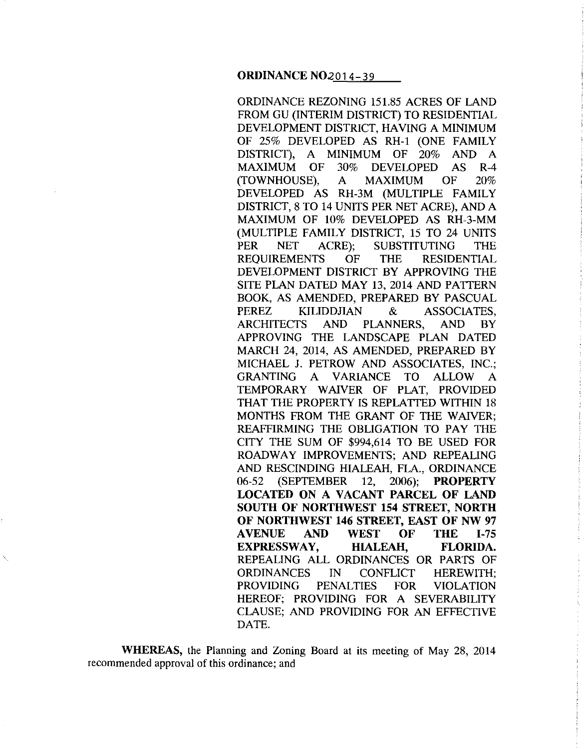ORDINANCE REZONING 151.85 ACRES OF LAND FROM GU (INTERIM DISTRICT) TO RESIDENTIAL DEVELOPMENT DISTRICT, HAVING A MINIMUM OF 25% DEVELOPED AS RH-1 (ONE FAMILY DISTRICT), A MINIMUM OF 20% AND A MAXIMUM OF 30% DEVELOPED AS R-4 (TOWNHOUSE), A MAXIMUM OF 20% DEVELOPED AS RH-3M (MULTIPLE FAMILY DISTRICT, 8 TO 14 UNITS PER NET ACRE), AND A MAXIMUM OF 10% DEVELOPED AS RH-3-MM (MULTIPLE FAMILY DISTRICT, 15 TO 24 UNITS PER NET ACRE); SUBSTITUTING THE REQUIREMENTS OF THE RESIDENTIAL DEVELOPMENT DISTRICT BY APPROVING THE SITE PLAN DATED MAY 13, 2014 AND PATTERN BOOK, AS AMENDED, PREPARED BY PASCUAL PEREZ KILIDDJIAN & ASSOCIATES, ARCHITECTS AND PLANNERS, AND BY APPROVING THE LANDSCAPE PLAN DATED MARCH 24, 2014, AS AMENDED, PREPARED BY MICHAEL J. PETROW AND ASSOCIATES, INC.; GRANTING A VARIANCE TO ALLOW A TEMPORARY WAJVER OF PLAT, PROVIDED THAT THE PROPERTY IS REPLATTED WITHIN 18 MONTHS FROM THE GRANT OF THE WAIVER; REAFFIRMING THE OBLIGATION TO PAY THE CITY THE SUM OF \$994,614 TO BE USED FOR ROADWAY IMPROVEMENTS; AND REPEALING AND RESCINDING HIALEAH, FLA., ORDINANCE 06-52 (SEPTEMBER 12, 2006); **PROPERTY LOCATED ON A VACANT PARCEL OF LAND SOUTH OF NORTHWEST 154 STREET, NORTH OF NORTHWEST 146 STREET, EAST OF NW 97 AVENUE AND WEST OF THE 1-75 EXPRESSWAY, HIALEAH, FLORIDA.**  REPEALING ALL ORDINANCES OR PARTS OF ORDINANCES IN CONFLICT HEREWITH; PROVIDING PENALTIES FOR VIOLATION HEREOF; PROVIDING FOR A SEVERABILITY CLAUSE; AND PROVIDING FOR AN EFFECTIVE DATE.

**WHEREAS,** the Planning and Zoning Board at its meeting of May 28, 2014 recommended approval of this ordinance; and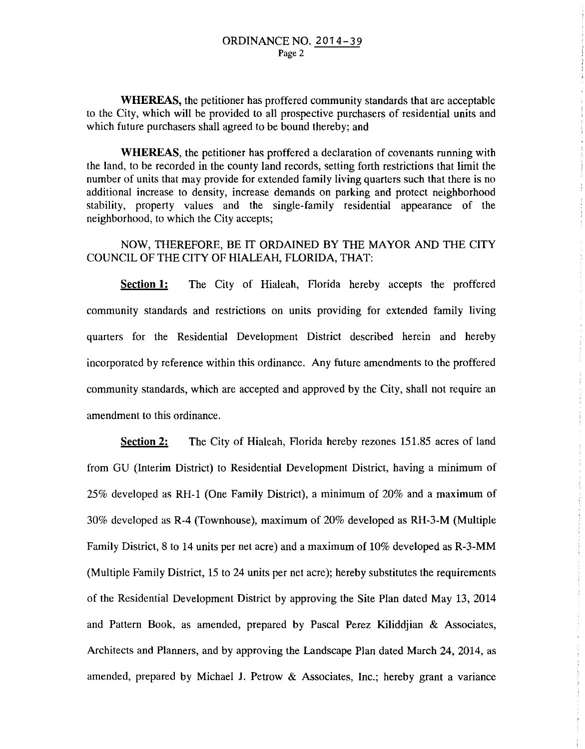**WHEREAS,** the petitioner has proffered community standards that are acceptable to the City, which will be provided to all prospective purchasers of residential units and which future purchasers shall agreed to be bound thereby; and

**WHEREAS,** the petitioner has proffered a declaration of covenants running with the land, to be recorded in the county land records, setting forth restrictions that limit the number of units that may provide for extended family living quarters such that there is no additional increase to density, increase demands on parking and protect neighborhood stability, property values and the single-family residential appearance of the neighborhood, to which the City accepts;

## NOW, THEREFORE, BE IT ORDAINED BY THE MAYOR AND THE CITY COUNCIL OF THE CITY OF HIALEAH, FLORIDA, THAT:

**<u>Section 1:</u>** The City of Hialeah, Florida hereby accepts the proffered community standards and restrictions on units providing for extended family living quarters for the Residential Development District described herein and hereby incorporated by reference within this ordinance. Any future amendments to the proffered community standards, which are accepted and approved by the City, shall not require an amendment to this ordinance.

Ť

**Section 2:** The City of Hialeah, Florida hereby rezones 151.85 acres of land from GU (Interim District) to Residential Development District, having a minimum of 25% developed as RH-1 (One Family District), a minimum of 20% and a maximum of 30% developed as R-4 (Townhouse), maximum of 20% developed as RH-3-M (Multiple Family District, 8 to 14 units per net acre) and a maximum of 10% developed as R-3-MM (Multiple Family District, 15 to 24 units per net acre); hereby substitutes the requirements of the Residential Development District by approving the Site Plan dated May 13, 2014 and Pattern Book, as amended, prepared by Pascal Perez Kiliddjian & Associates, Architects and Planners, and by approving the Landscape Plan dated March 24, 2014, as amended, prepared by Michael J. Petrow & Associates, Inc.; hereby grant a variance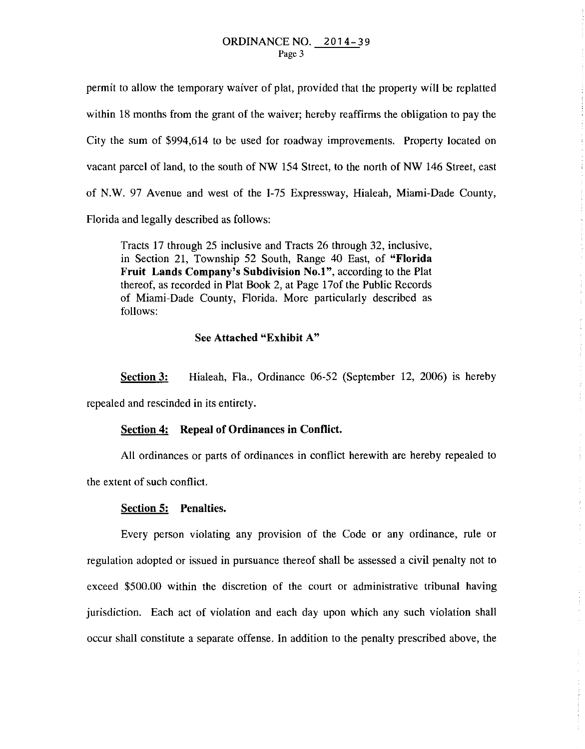permit to allow the temporary waiver of plat, provided that the property will be replatted within 18 months from the grant of the waiver; hereby reaffirms the obligation to pay the City the sum of \$994,614 to be used for roadway improvements. Property located on vacant parcel of land, to the south of NW 154 Street, to the north of NW 146 Street, east of N.W. 97 Avenue and west of the 1-75 Expressway, Hialeah, Miami-Dade County, Florida and legally described as follows:

Tracts 17 through 25 inclusive and Tracts 26 through 32, inclusive, in Section 21, Township 52 South, Range 40 East, of **"Florida Fruit Lands Company's Subdivision No.1",** according to the Plat thereof, as recorded in Plat Book 2, at Page 17of the Public Records of Miami-Dade County, Florida. More particularly described as follows:

## See **Attached "Exhibit A"**

**Section 3:** Hialeah, Fla., Ordinance 06-52 (September 12, 2006) is hereby

repealed and rescinded in its entirety.

## **Section 4: Repeal of Ordinances in Conflict.**

All ordinances or parts of ordinances in conflict herewith are hereby repealed to the extent of such conflict.

 $\frac{1}{3}$ 

 $\tilde{t}$ 

 $\frac{2}{3}$ 

#### **Section 5: Penalties.**

Every person violating any provision of the Code or any ordinance, rule or regulation adopted or issued in pursuance thereof shall be assessed a civil penalty not to exceed \$500.00 within the discretion of the court or administrative tribunal having jurisdiction. Each act of violation and each day upon which any such violation shall occur shall constitute a separate offense. In addition to the penalty prescribed above, the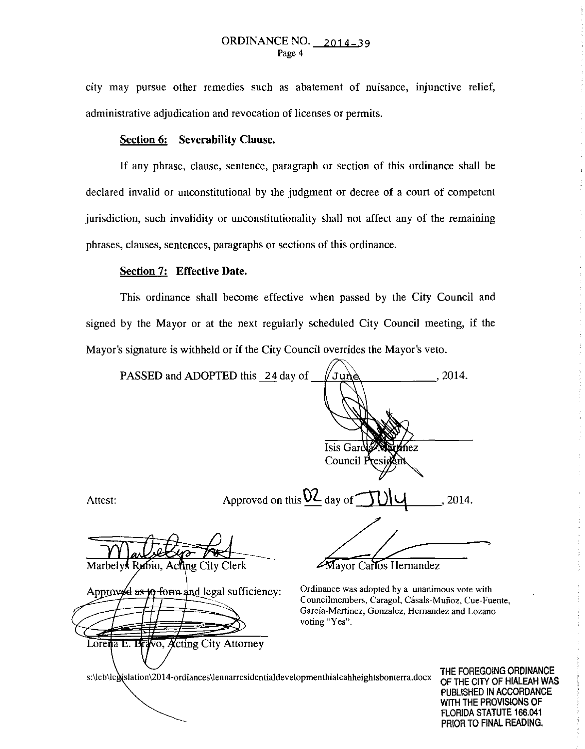city may pursue other remedies such as abatement of nuisance, injunctive relief, administrative adjudication and revocation of licenses or permits.

## Section 6: Severability Clause.

If any phrase, clause, sentence, paragraph or section of this ordinance shall be declared invalid or unconstitutional by the judgment or decree of a court of competent jurisdiction, such invalidity or unconstitutionality shall not affect any of the remaining phrases, clauses, sentences, paragraphs or sections of this ordinance.

## Section 7: Effective Date.

This ordinance shall become effective when passed by the City Council and signed by the Mayor or at the next regularly scheduled City Council meeting, if the Mayor's signature is withheld or if the City Council overrides the Mayor's veto.

| PASSED and ADOPTED this 24 day of                                                                                                  | ้Jun∖è∖                                                                                                                                                                  | , 2014.                                                                                                              |
|------------------------------------------------------------------------------------------------------------------------------------|--------------------------------------------------------------------------------------------------------------------------------------------------------------------------|----------------------------------------------------------------------------------------------------------------------|
|                                                                                                                                    |                                                                                                                                                                          |                                                                                                                      |
|                                                                                                                                    | Isis Gard Marthez<br>Council Presiden                                                                                                                                    |                                                                                                                      |
| Attest:                                                                                                                            | Approved on this $\underline{\mathsf{02}}$ day of                                                                                                                        | 2014.                                                                                                                |
| Marbelys Rubio, Acting City Clerk                                                                                                  | Mayor Carlos Hernandez                                                                                                                                                   |                                                                                                                      |
| Approved as $\phi$ form and legal sufficiency:                                                                                     | Ordinance was adopted by a unanimous vote with<br>Councilmembers, Caragol, Cásals-Muñoz, Cue-Fuente,<br>Garcia-Martinez, Gonzalez, Hernandez and Lozano<br>voting "Yes". |                                                                                                                      |
| Lorena E. Bravo, Acting City Attorney<br>s:\leb\legislation\2014-ordiances\lennarresidentialdevelopmenthialeahheightsbonterra.docx |                                                                                                                                                                          | THE FOREGOING ORDINANCE<br>OF THE CITY OF HIALEAH WA!<br>PUBLISHED IN ACCORDANCE<br><i>\NIT⊔ TUE DR∩\II</i> RI∩NR ∩F |

HIALEAH WAS **\CCORDANCE** WITH THE PROVISIONS OF FLORIDA STATUTE 166.041 PRIOR TO FINAL READING.

÷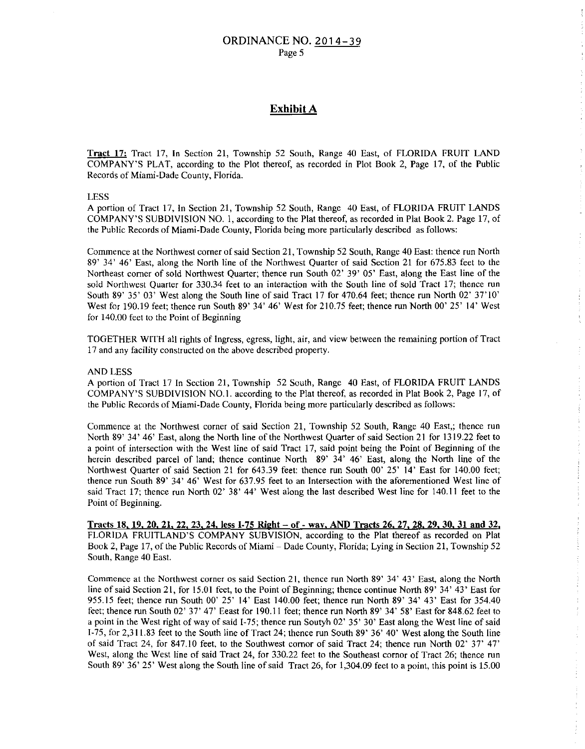#### ORDINANCE NO. 2014-39 Page 5

## Exhibit A

Tract 17: Tract 17, In Section 21, Township 52 South, Range 40 East, of FLORIDA FRUIT LAND COMPANY'S PLAT, according to the Plot thereof, as recorded in Plot Book 2, Page 17, of the Public Records of Miami-Dade County, Florida.

LESS

A portion of Tract 17, In Section 21, Township 52 South, Range 40 East, of FLORIDA FRUIT LANDS COMPANY'S SUBDIVISION NO. I, according to the Plat thereof, as recorded in Plat Book 2. Page 17, of the Public Records of Miami-Dade County, Florida being more particularly described as follows:

Commence at the Northwest corner of said Section 21, Township 52 South, Range 40 East: thence run North 89' 34' 46' East, along the North line of the Northwest Quarter of said Section 21 for 675.83 feet to the Northeast comer of sold Northwest Quarter; thence run South 02' 39' 05' East, along the East line of the sold Northwest Quarter for 330.34 feet to an interaction with the South line of sold Tract 17; thence run South 89' 35' 03' West along the South line of said Tract 17 for 470.64 feet; thence run North 02' 37'10' West for 190.19 feet; thence run South 89' 34' 46' West for 210.75 feet; thence run North 00' 25' 14' West for 140.00 feet to the Point of Beginning

TOGETHER WITH all rights of Ingress, egress, light, air, and view between the remaining portion of Tract 17 and any facility constructed on the above described property.

#### AND LESS

A portion of Tract 17 In Section 21, Township 52 South, Range 40 East, of FLORIDA FRUIT LANDS COMPANY'S SUBDIVISION NO.I. according to the Plat thereof, as recorded in Plat Book 2, Page 17, of the Public Records of Miami-Dade County, Florida being more particularly described as follows:

÷

Commence at the Northwest corner of said Section 21, Township 52 South, Range 40 East,; thence run North 89' 34' 46' East, along the North line of the Northwest Quarter of said Section 21 for 1319.22 feet to a point of intersection with the West line of said Tract 17, said point being the Point of Beginning of the herein described parcel of land; thence continue North 89' 34' 46' East, along the North line of the Northwest Quarter of said Section 21 for 643.39 feet: thence run South 00' 25' 14' East for 140.00 feet; thence run South 89' 34' 46' West for 637.95 feet to an Intersection with the aforementioned West line of said Tract 17; thence run North 02' 38' 44' West along the last described West line for 140.11 feet to the Point of Beginning.

Tracts 18, 19, 20, 21. 22. 23. 24. less 1-75 Right- of- way, AND Tracts 26, 27, 28. 29, 30,31 and 32, FLORIDA FRUITLAND'S COMPANY SUBVISION, according to the Plat thereof as recorded on Plat Book 2, Page 17, of the Public Records of Miami- Dade County, Florida; Lying in Section 21, Township 52 South, Range 40 East.

Commence at the Northwest corner os said Section 21, thence run North 89' 34' 43' East, along the North line of said Section 21, for 15.01 feet, to the Point of Beginning; thence continue North 89' 34' 43' East for 955.15 feet; thence run South 00' 25' 14' East 140.00 feet; thence run North 89' 34' 43' East for 354.40 feet; thence run South 02' 37' 47' Eeast for 190.11 feet; thence run North 89' 34' 58' East for 848.62 feet to a point in the West right of way of said 1-75; thence run Soutyh 02' 35' 30' East along the West line of said 1-75, for 2,311.83 feet to the South line of Tract 24; thence run South 89' 36' 40' West along the South line of said Tract 24, for 847.10 feet, to the Southwest comor of said Tract 24; thence run North 02' 37' 47' West, along the West line of said Tract 24, for 330.22 feet to the Southeast cornor of Tract 26; thence run South 89' 36' 25' West along the South line of said Tract 26, for 1,304.09 feet to a point, this point is 15.00